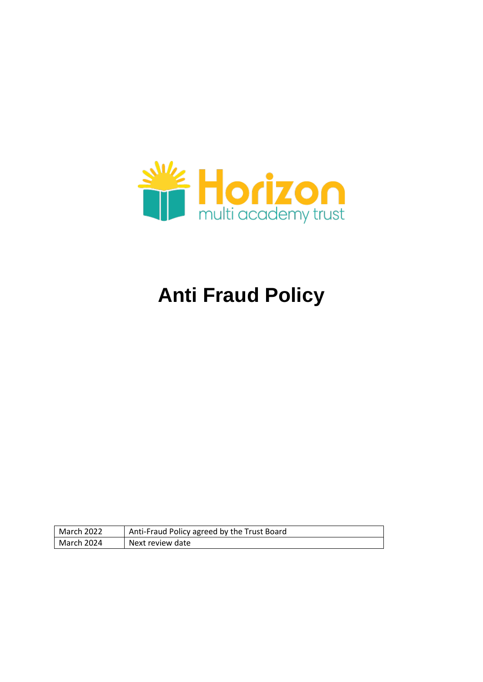

# **Anti Fraud Policy**

| March 2022 | Anti-Fraud Policy agreed by the Trust Board |
|------------|---------------------------------------------|
| March 2024 | Next review date                            |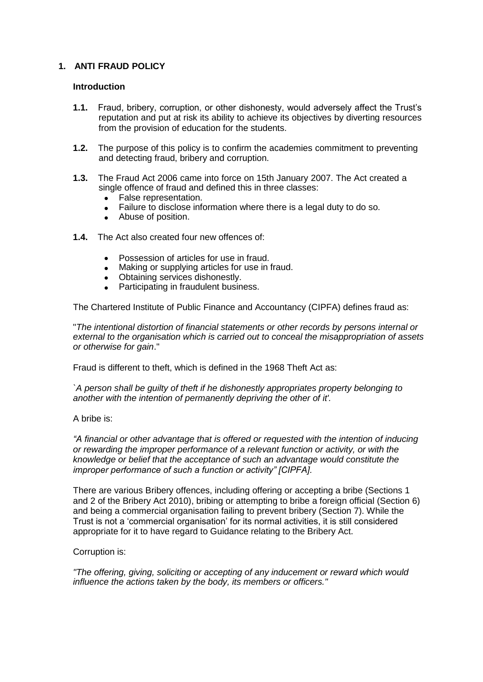# **1. ANTI FRAUD POLICY**

## **Introduction**

- **1.1.** Fraud, bribery, corruption, or other dishonesty, would adversely affect the Trust's reputation and put at risk its ability to achieve its objectives by diverting resources from the provision of education for the students.
- **1.2.** The purpose of this policy is to confirm the academies commitment to preventing and detecting fraud, bribery and corruption.
- **1.3.** The Fraud Act 2006 came into force on 15th January 2007. The Act created a single offence of fraud and defined this in three classes:
	- False representation.
	- Failure to disclose information where there is a legal duty to do so.
	- Abuse of position.
- **1.4.** The Act also created four new offences of:
	- Possession of articles for use in fraud.
	- Making or supplying articles for use in fraud.
	- Obtaining services dishonestly.
	- Participating in fraudulent business.

The Chartered Institute of Public Finance and Accountancy (CIPFA) defines fraud as:

"*The intentional distortion of financial statements or other records by persons internal or external to the organisation which is carried out to conceal the misappropriation of assets or otherwise for gain*."

Fraud is different to theft, which is defined in the 1968 Theft Act as:

*`A person shall be guilty of theft if he dishonestly appropriates property belonging to another with the intention of permanently depriving the other of it'.*

## A bribe is:

*"A financial or other advantage that is offered or requested with the intention of inducing or rewarding the improper performance of a relevant function or activity, or with the knowledge or belief that the acceptance of such an advantage would constitute the improper performance of such a function or activity" [CIPFA].*

There are various Bribery offences, including offering or accepting a bribe (Sections 1 and 2 of the Bribery Act 2010), bribing or attempting to bribe a foreign official (Section 6) and being a commercial organisation failing to prevent bribery (Section 7). While the Trust is not a 'commercial organisation' for its normal activities, it is still considered appropriate for it to have regard to Guidance relating to the Bribery Act.

## Corruption is:

*"The offering, giving, soliciting or accepting of any inducement or reward which would influence the actions taken by the body, its members or officers."*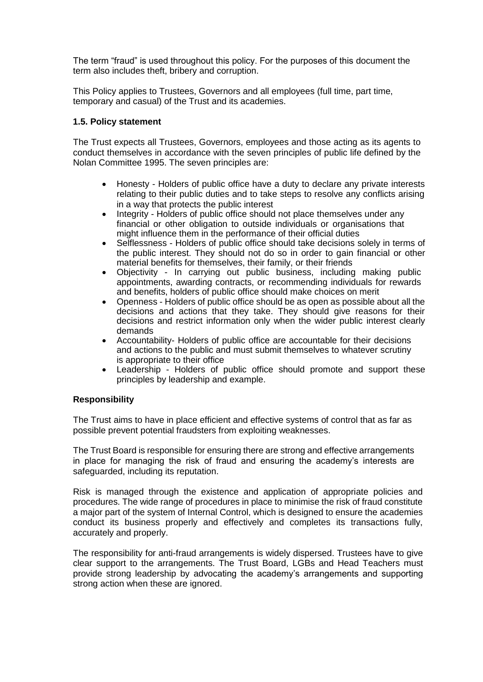The term "fraud" is used throughout this policy. For the purposes of this document the term also includes theft, bribery and corruption.

This Policy applies to Trustees, Governors and all employees (full time, part time, temporary and casual) of the Trust and its academies.

# **1.5. Policy statement**

The Trust expects all Trustees, Governors, employees and those acting as its agents to conduct themselves in accordance with the seven principles of public life defined by the Nolan Committee 1995. The seven principles are:

- Honesty Holders of public office have a duty to declare any private interests relating to their public duties and to take steps to resolve any conflicts arising in a way that protects the public interest
- Integrity Holders of public office should not place themselves under any financial or other obligation to outside individuals or organisations that might influence them in the performance of their official duties
- Selflessness Holders of public office should take decisions solely in terms of the public interest. They should not do so in order to gain financial or other material benefits for themselves, their family, or their friends
- Objectivity In carrying out public business, including making public appointments, awarding contracts, or recommending individuals for rewards and benefits, holders of public office should make choices on merit
- Openness Holders of public office should be as open as possible about all the decisions and actions that they take. They should give reasons for their decisions and restrict information only when the wider public interest clearly demands
- Accountability- Holders of public office are accountable for their decisions and actions to the public and must submit themselves to whatever scrutiny is appropriate to their office
- Leadership Holders of public office should promote and support these principles by leadership and example.

## **Responsibility**

The Trust aims to have in place efficient and effective systems of control that as far as possible prevent potential fraudsters from exploiting weaknesses.

The Trust Board is responsible for ensuring there are strong and effective arrangements in place for managing the risk of fraud and ensuring the academy's interests are safeguarded, including its reputation.

Risk is managed through the existence and application of appropriate policies and procedures. The wide range of procedures in place to minimise the risk of fraud constitute a major part of the system of Internal Control, which is designed to ensure the academies conduct its business properly and effectively and completes its transactions fully, accurately and properly.

The responsibility for anti-fraud arrangements is widely dispersed. Trustees have to give clear support to the arrangements. The Trust Board, LGBs and Head Teachers must provide strong leadership by advocating the academy's arrangements and supporting strong action when these are ignored.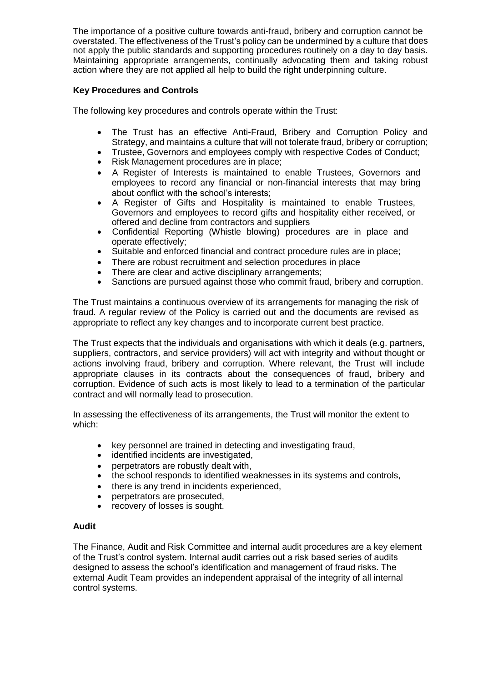The importance of a positive culture towards anti-fraud, bribery and corruption cannot be overstated. The effectiveness of the Trust's policy can be undermined by a culture that does not apply the public standards and supporting procedures routinely on a day to day basis. Maintaining appropriate arrangements, continually advocating them and taking robust action where they are not applied all help to build the right underpinning culture.

# **Key Procedures and Controls**

The following key procedures and controls operate within the Trust:

- The Trust has an effective Anti-Fraud, Bribery and Corruption Policy and Strategy, and maintains a culture that will not tolerate fraud, bribery or corruption;
- Trustee, Governors and employees comply with respective Codes of Conduct;
- Risk Management procedures are in place;
- A Register of Interests is maintained to enable Trustees, Governors and employees to record any financial or non-financial interests that may bring about conflict with the school's interests;
- A Register of Gifts and Hospitality is maintained to enable Trustees, Governors and employees to record gifts and hospitality either received, or offered and decline from contractors and suppliers
- Confidential Reporting (Whistle blowing) procedures are in place and operate effectively;
- Suitable and enforced financial and contract procedure rules are in place;
- There are robust recruitment and selection procedures in place
- There are clear and active disciplinary arrangements;
- Sanctions are pursued against those who commit fraud, bribery and corruption.

The Trust maintains a continuous overview of its arrangements for managing the risk of fraud. A regular review of the Policy is carried out and the documents are revised as appropriate to reflect any key changes and to incorporate current best practice.

The Trust expects that the individuals and organisations with which it deals (e.g. partners, suppliers, contractors, and service providers) will act with integrity and without thought or actions involving fraud, bribery and corruption. Where relevant, the Trust will include appropriate clauses in its contracts about the consequences of fraud, bribery and corruption. Evidence of such acts is most likely to lead to a termination of the particular contract and will normally lead to prosecution.

In assessing the effectiveness of its arrangements, the Trust will monitor the extent to which:

- key personnel are trained in detecting and investigating fraud,
- identified incidents are investigated,
- perpetrators are robustly dealt with,
- the school responds to identified weaknesses in its systems and controls,
- there is any trend in incidents experienced.
- perpetrators are prosecuted,
- recovery of losses is sought.

# **Audit**

The Finance, Audit and Risk Committee and internal audit procedures are a key element of the Trust's control system. Internal audit carries out a risk based series of audits designed to assess the school's identification and management of fraud risks. The external Audit Team provides an independent appraisal of the integrity of all internal control systems.